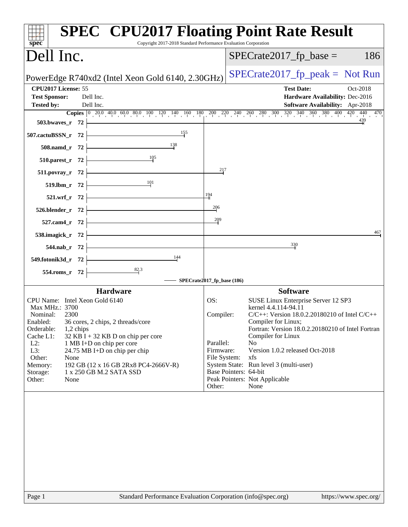| Copyright 2017-2018 Standard Performance Evaluation Corporation<br>$spec^*$                                                                                                                                                                                                                                                                                                                                                        | <b>SPEC<sup>®</sup> CPU2017 Floating Point Rate Result</b>                                                                                                                                                                                                                                                                                                                                                                                                                             |
|------------------------------------------------------------------------------------------------------------------------------------------------------------------------------------------------------------------------------------------------------------------------------------------------------------------------------------------------------------------------------------------------------------------------------------|----------------------------------------------------------------------------------------------------------------------------------------------------------------------------------------------------------------------------------------------------------------------------------------------------------------------------------------------------------------------------------------------------------------------------------------------------------------------------------------|
| Dell Inc.                                                                                                                                                                                                                                                                                                                                                                                                                          | $SPECTate2017$ _fp_base =<br>186                                                                                                                                                                                                                                                                                                                                                                                                                                                       |
| PowerEdge R740xd2 (Intel Xeon Gold 6140, 2.30GHz)                                                                                                                                                                                                                                                                                                                                                                                  | $SPECrate2017_fp\_peak = Not Run$                                                                                                                                                                                                                                                                                                                                                                                                                                                      |
| CPU2017 License: 55<br><b>Test Sponsor:</b><br>Dell Inc.<br><b>Tested by:</b><br>Dell Inc.<br>$503.bwaves_r 72$                                                                                                                                                                                                                                                                                                                    | <b>Test Date:</b><br>Oct-2018<br>Hardware Availability: Dec-2016<br><b>Software Availability:</b> Apr-2018<br><b>Copies</b> $\begin{bmatrix} 0 & 20 & 40 & 60 & 80 & 100 & 120 & 140 & 160 & 180 & 200 & 220 & 240 & 260 & 280 & 300 & 320 & 340 & 360 & 380 & 400 & 420 & 440 & 470 \end{bmatrix}$                                                                                                                                                                                    |
| $507.cactuBSSN_r$ 72<br>508.namd_r 72 $\frac{138}{1}$<br>510.parest_r 72 $\begin{array}{ c c }\n\hline\n& -105 \\ \hline\n\end{array}$                                                                                                                                                                                                                                                                                             |                                                                                                                                                                                                                                                                                                                                                                                                                                                                                        |
| $511. povray_r 72$<br>519.lbm_r 72 $\frac{101}{10}$<br>$521.wrf_r$ 72<br>$526.blender_r 72$                                                                                                                                                                                                                                                                                                                                        | 217<br>194<br>206                                                                                                                                                                                                                                                                                                                                                                                                                                                                      |
| $527.cam4_r$ 72<br>538.imagick_r $72$ $\overline{\qquad}$                                                                                                                                                                                                                                                                                                                                                                          | 209<br>467<br>330                                                                                                                                                                                                                                                                                                                                                                                                                                                                      |
| $544.nab_r$ 72<br>549.fotonik3d_r $72$ $\overline{\phantom{a}}$<br>$\frac{144}{ }$<br>554.roms_r 72 $\overline{\qquad \qquad }$ 82.3                                                                                                                                                                                                                                                                                               | $-$ SPECrate2017_fp_base (186)                                                                                                                                                                                                                                                                                                                                                                                                                                                         |
| <b>Hardware</b><br>CPU Name: Intel Xeon Gold 6140<br>Max MHz.: 3700<br>2300<br>Nominal:<br>Enabled: 36 cores, 2 chips, 2 threads/core<br>Orderable:<br>1,2 chips<br>Cache L1:<br>$32$ KB I + 32 KB D on chip per core<br>$L2$ :<br>1 MB I+D on chip per core<br>L3:<br>24.75 MB I+D on chip per chip<br>Other:<br>None<br>Memory:<br>192 GB (12 x 16 GB 2Rx8 PC4-2666V-R)<br>Storage:<br>1 x 250 GB M.2 SATA SSD<br>Other:<br>None | <b>Software</b><br>OS:<br>SUSE Linux Enterprise Server 12 SP3<br>kernel 4.4.114-94.11<br>Compiler:<br>$C/C++$ : Version 18.0.2.20180210 of Intel $C/C++$<br>Compiler for Linux;<br>Fortran: Version 18.0.2.20180210 of Intel Fortran<br>Compiler for Linux<br>Parallel:<br>N <sub>o</sub><br>Firmware:<br>Version 1.0.2 released Oct-2018<br>File System:<br>xfs<br>System State: Run level 3 (multi-user)<br>Base Pointers: 64-bit<br>Peak Pointers: Not Applicable<br>Other:<br>None |
|                                                                                                                                                                                                                                                                                                                                                                                                                                    |                                                                                                                                                                                                                                                                                                                                                                                                                                                                                        |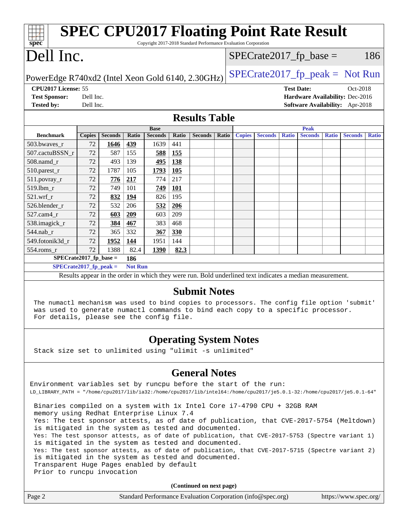| Spec                                                                                                                                                                                                                         |               |                |                |                |              | <b>SPEC CPU2017 Floating Point Rate Result</b><br>Copyright 2017-2018 Standard Performance Evaluation Corporation |       |                                 |                |                           |                |              |                                 |              |
|------------------------------------------------------------------------------------------------------------------------------------------------------------------------------------------------------------------------------|---------------|----------------|----------------|----------------|--------------|-------------------------------------------------------------------------------------------------------------------|-------|---------------------------------|----------------|---------------------------|----------------|--------------|---------------------------------|--------------|
| Dell Inc.                                                                                                                                                                                                                    |               |                |                |                |              |                                                                                                                   |       |                                 |                | $SPECrate2017_fp\_base =$ |                |              | 186                             |              |
| $SPECrate2017fr peak = Not Run$<br>PowerEdge R740xd2 (Intel Xeon Gold 6140, 2.30GHz)                                                                                                                                         |               |                |                |                |              |                                                                                                                   |       |                                 |                |                           |                |              |                                 |              |
| CPU2017 License: 55<br><b>Test Date:</b><br>Oct-2018                                                                                                                                                                         |               |                |                |                |              |                                                                                                                   |       |                                 |                |                           |                |              |                                 |              |
| <b>Test Sponsor:</b>                                                                                                                                                                                                         | Dell Inc.     |                |                |                |              |                                                                                                                   |       | Hardware Availability: Dec-2016 |                |                           |                |              |                                 |              |
| <b>Tested by:</b>                                                                                                                                                                                                            | Dell Inc.     |                |                |                |              |                                                                                                                   |       |                                 |                |                           |                |              | Software Availability: Apr-2018 |              |
| <b>Results Table</b>                                                                                                                                                                                                         |               |                |                |                |              |                                                                                                                   |       |                                 |                |                           |                |              |                                 |              |
|                                                                                                                                                                                                                              |               |                |                | <b>Base</b>    |              |                                                                                                                   |       |                                 |                |                           | <b>Peak</b>    |              |                                 |              |
| <b>Benchmark</b>                                                                                                                                                                                                             | <b>Copies</b> | <b>Seconds</b> | Ratio          | <b>Seconds</b> | <b>Ratio</b> | <b>Seconds</b>                                                                                                    | Ratio | <b>Copies</b>                   | <b>Seconds</b> | <b>Ratio</b>              | <b>Seconds</b> | <b>Ratio</b> | <b>Seconds</b>                  | <b>Ratio</b> |
| 503.bwaves_r                                                                                                                                                                                                                 | 72            | 1646           | 439            | 1639           | 441          |                                                                                                                   |       |                                 |                |                           |                |              |                                 |              |
| 507.cactuBSSN r                                                                                                                                                                                                              | 72            | 587            | 155            | 588            | 155          |                                                                                                                   |       |                                 |                |                           |                |              |                                 |              |
| $508$ .namd $r$                                                                                                                                                                                                              | 72            | 493            | 139            | 495            | 138          |                                                                                                                   |       |                                 |                |                           |                |              |                                 |              |
| 510.parest_r                                                                                                                                                                                                                 | 72            | 1787           | 105            | 1793           | 105          |                                                                                                                   |       |                                 |                |                           |                |              |                                 |              |
| 511.povray_r                                                                                                                                                                                                                 | 72            | 776            | 217            | 774            | 217          |                                                                                                                   |       |                                 |                |                           |                |              |                                 |              |
| 519.lbm r                                                                                                                                                                                                                    | 72            | 749            | 101            | 749            | 101          |                                                                                                                   |       |                                 |                |                           |                |              |                                 |              |
| 521.wrf r                                                                                                                                                                                                                    | 72            | 832            | 194            | 826            | 195          |                                                                                                                   |       |                                 |                |                           |                |              |                                 |              |
| 526.blender_r                                                                                                                                                                                                                | 72            | 532            | 206            | 532            | 206          |                                                                                                                   |       |                                 |                |                           |                |              |                                 |              |
| 527.cam4_r                                                                                                                                                                                                                   | 72            | 603            | 209            | 603            | 209          |                                                                                                                   |       |                                 |                |                           |                |              |                                 |              |
| 538.imagick_r                                                                                                                                                                                                                | 72            | 384            | 467            | 383            | 468          |                                                                                                                   |       |                                 |                |                           |                |              |                                 |              |
| 544.nab_r                                                                                                                                                                                                                    | 72            | 365            | 332            | 367            | 330          |                                                                                                                   |       |                                 |                |                           |                |              |                                 |              |
| 549.fotonik3d_r                                                                                                                                                                                                              | 72            | 1952           | 144            | 1951           | 144          |                                                                                                                   |       |                                 |                |                           |                |              |                                 |              |
| 554.roms r                                                                                                                                                                                                                   | 72            | 1388           | 82.4           | 1390           | 82.3         |                                                                                                                   |       |                                 |                |                           |                |              |                                 |              |
| $SPECrate2017_fp\_base =$                                                                                                                                                                                                    |               |                | 186            |                |              |                                                                                                                   |       |                                 |                |                           |                |              |                                 |              |
| $SPECrate2017_fp\_peak =$                                                                                                                                                                                                    |               |                | <b>Not Run</b> |                |              |                                                                                                                   |       |                                 |                |                           |                |              |                                 |              |
|                                                                                                                                                                                                                              |               |                |                |                |              | Results appear in the order in which they were run. Bold underlined text indicates a median measurement.          |       |                                 |                |                           |                |              |                                 |              |
| <b>Submit Notes</b>                                                                                                                                                                                                          |               |                |                |                |              |                                                                                                                   |       |                                 |                |                           |                |              |                                 |              |
| The numactl mechanism was used to bind copies to processors. The config file option 'submit'<br>was used to generate numactl commands to bind each copy to a specific processor.<br>For details, please see the config file. |               |                |                |                |              |                                                                                                                   |       |                                 |                |                           |                |              |                                 |              |
| ⌒<br>$\mathbf{A}$ and $\mathbf{A}$ and $\mathbf{A}$ and $\mathbf{A}$                                                                                                                                                         |               |                |                |                |              |                                                                                                                   |       |                                 |                |                           |                |              |                                 |              |

## **[Operating System Notes](http://www.spec.org/auto/cpu2017/Docs/result-fields.html#OperatingSystemNotes)**

Stack size set to unlimited using "ulimit -s unlimited"

## **[General Notes](http://www.spec.org/auto/cpu2017/Docs/result-fields.html#GeneralNotes)**

Environment variables set by runcpu before the start of the run: LD\_LIBRARY\_PATH = "/home/cpu2017/lib/ia32:/home/cpu2017/lib/intel64:/home/cpu2017/je5.0.1-32:/home/cpu2017/je5.0.1-64" Binaries compiled on a system with 1x Intel Core i7-4790 CPU + 32GB RAM memory using Redhat Enterprise Linux 7.4 Yes: The test sponsor attests, as of date of publication, that CVE-2017-5754 (Meltdown) is mitigated in the system as tested and documented. Yes: The test sponsor attests, as of date of publication, that CVE-2017-5753 (Spectre variant 1) is mitigated in the system as tested and documented. Yes: The test sponsor attests, as of date of publication, that CVE-2017-5715 (Spectre variant 2) is mitigated in the system as tested and documented. Transparent Huge Pages enabled by default Prior to runcpu invocation

**(Continued on next page)**

| Page 2<br>Standard Performance Evaluation Corporation (info@spec.org) | https://www.spec.org/ |
|-----------------------------------------------------------------------|-----------------------|
|-----------------------------------------------------------------------|-----------------------|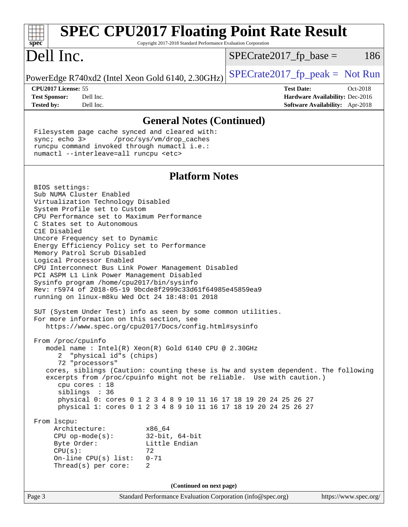| <b>SPEC CPU2017 Floating Point Rate Result</b><br>Copyright 2017-2018 Standard Performance Evaluation Corporation<br>$spec^*$                                                                                                                                                                                                                                                                                                                                                                                                                                                                                                                                                                                                                                                                                                                                                                                                                                                                                            |                                                                                                     |
|--------------------------------------------------------------------------------------------------------------------------------------------------------------------------------------------------------------------------------------------------------------------------------------------------------------------------------------------------------------------------------------------------------------------------------------------------------------------------------------------------------------------------------------------------------------------------------------------------------------------------------------------------------------------------------------------------------------------------------------------------------------------------------------------------------------------------------------------------------------------------------------------------------------------------------------------------------------------------------------------------------------------------|-----------------------------------------------------------------------------------------------------|
| Dell Inc.                                                                                                                                                                                                                                                                                                                                                                                                                                                                                                                                                                                                                                                                                                                                                                                                                                                                                                                                                                                                                | 186<br>$SPECrate2017_fp\_base =$                                                                    |
| PowerEdge R740xd2 (Intel Xeon Gold 6140, 2.30GHz)                                                                                                                                                                                                                                                                                                                                                                                                                                                                                                                                                                                                                                                                                                                                                                                                                                                                                                                                                                        | $SPECrate2017fr peak = Not Run$                                                                     |
| CPU2017 License: 55<br><b>Test Sponsor:</b><br>Dell Inc.<br><b>Tested by:</b><br>Dell Inc.                                                                                                                                                                                                                                                                                                                                                                                                                                                                                                                                                                                                                                                                                                                                                                                                                                                                                                                               | <b>Test Date:</b><br>Oct-2018<br>Hardware Availability: Dec-2016<br>Software Availability: Apr-2018 |
| <b>General Notes (Continued)</b>                                                                                                                                                                                                                                                                                                                                                                                                                                                                                                                                                                                                                                                                                                                                                                                                                                                                                                                                                                                         |                                                                                                     |
| Filesystem page cache synced and cleared with:<br>sync; echo 3><br>/proc/sys/vm/drop_caches<br>runcpu command invoked through numactl i.e.:<br>numactl --interleave=all runcpu <etc></etc>                                                                                                                                                                                                                                                                                                                                                                                                                                                                                                                                                                                                                                                                                                                                                                                                                               |                                                                                                     |
| <b>Platform Notes</b>                                                                                                                                                                                                                                                                                                                                                                                                                                                                                                                                                                                                                                                                                                                                                                                                                                                                                                                                                                                                    |                                                                                                     |
| BIOS settings:<br>Sub NUMA Cluster Enabled<br>Virtualization Technology Disabled<br>System Profile set to Custom<br>CPU Performance set to Maximum Performance<br>C States set to Autonomous<br>C1E Disabled<br>Uncore Frequency set to Dynamic<br>Energy Efficiency Policy set to Performance<br>Memory Patrol Scrub Disabled<br>Logical Processor Enabled<br>CPU Interconnect Bus Link Power Management Disabled<br>PCI ASPM L1 Link Power Management Disabled<br>Sysinfo program /home/cpu2017/bin/sysinfo<br>Rev: r5974 of 2018-05-19 9bcde8f2999c33d61f64985e45859ea9<br>running on linux-m8ku Wed Oct 24 18:48:01 2018<br>SUT (System Under Test) info as seen by some common utilities.<br>For more information on this section, see<br>https://www.spec.org/cpu2017/Docs/config.html#sysinfo<br>From /proc/cpuinfo<br>model name : Intel(R) Xeon(R) Gold 6140 CPU @ 2.30GHz<br>2 "physical id"s (chips)<br>72 "processors"<br>cores, siblings (Caution: counting these is hw and system dependent. The following |                                                                                                     |
| excerpts from /proc/cpuinfo might not be reliable. Use with caution.)<br>cpu cores : 18<br>siblings : 36<br>physical 0: cores 0 1 2 3 4 8 9 10 11 16 17 18 19 20 24 25 26 27<br>physical 1: cores 0 1 2 3 4 8 9 10 11 16 17 18 19 20 24 25 26 27                                                                                                                                                                                                                                                                                                                                                                                                                                                                                                                                                                                                                                                                                                                                                                         |                                                                                                     |
| From 1scpu:<br>Architecture:<br>x86 64<br>$CPU$ op-mode(s):<br>$32$ -bit, $64$ -bit<br>Byte Order:<br>Little Endian<br>CPU(s):<br>72<br>On-line $CPU(s)$ list:<br>$0 - 71$<br>Thread(s) per core:<br>2                                                                                                                                                                                                                                                                                                                                                                                                                                                                                                                                                                                                                                                                                                                                                                                                                   |                                                                                                     |
| (Continued on next page)                                                                                                                                                                                                                                                                                                                                                                                                                                                                                                                                                                                                                                                                                                                                                                                                                                                                                                                                                                                                 |                                                                                                     |
| Page 3<br>Standard Performance Evaluation Corporation (info@spec.org)                                                                                                                                                                                                                                                                                                                                                                                                                                                                                                                                                                                                                                                                                                                                                                                                                                                                                                                                                    | https://www.spec.org/                                                                               |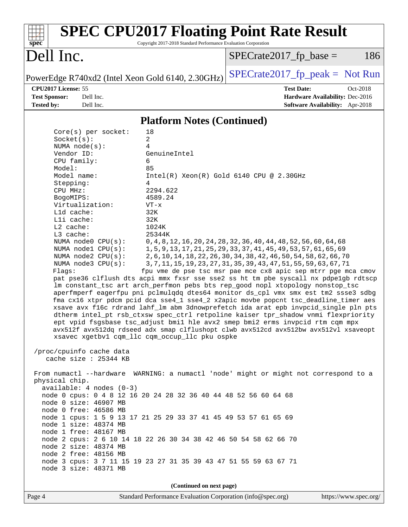| <b>SPEC CPU2017 Floating Point Rate Result</b><br>Copyright 2017-2018 Standard Performance Evaluation Corporation<br>spec <sup>®</sup>                                                                                                                                                                                                                                                                                                                                                                                                                                                                                                                                                                                                                                                                                                                                                                                                                                                                                                                                                                                                                                                                                        |                                                                                                                                                                                                                                                                                                                                                                                                              |
|-------------------------------------------------------------------------------------------------------------------------------------------------------------------------------------------------------------------------------------------------------------------------------------------------------------------------------------------------------------------------------------------------------------------------------------------------------------------------------------------------------------------------------------------------------------------------------------------------------------------------------------------------------------------------------------------------------------------------------------------------------------------------------------------------------------------------------------------------------------------------------------------------------------------------------------------------------------------------------------------------------------------------------------------------------------------------------------------------------------------------------------------------------------------------------------------------------------------------------|--------------------------------------------------------------------------------------------------------------------------------------------------------------------------------------------------------------------------------------------------------------------------------------------------------------------------------------------------------------------------------------------------------------|
| Dell Inc.                                                                                                                                                                                                                                                                                                                                                                                                                                                                                                                                                                                                                                                                                                                                                                                                                                                                                                                                                                                                                                                                                                                                                                                                                     | 186<br>$SPECrate2017_fp\_base =$                                                                                                                                                                                                                                                                                                                                                                             |
| PowerEdge R740xd2 (Intel Xeon Gold 6140, 2.30GHz)                                                                                                                                                                                                                                                                                                                                                                                                                                                                                                                                                                                                                                                                                                                                                                                                                                                                                                                                                                                                                                                                                                                                                                             | $SPECrate2017_fp\_peak = Not Run$                                                                                                                                                                                                                                                                                                                                                                            |
| CPU2017 License: 55<br><b>Test Sponsor:</b><br>Dell Inc.<br><b>Tested by:</b><br>Dell Inc.                                                                                                                                                                                                                                                                                                                                                                                                                                                                                                                                                                                                                                                                                                                                                                                                                                                                                                                                                                                                                                                                                                                                    | <b>Test Date:</b><br>Oct-2018<br>Hardware Availability: Dec-2016<br>Software Availability: Apr-2018                                                                                                                                                                                                                                                                                                          |
| <b>Platform Notes (Continued)</b>                                                                                                                                                                                                                                                                                                                                                                                                                                                                                                                                                                                                                                                                                                                                                                                                                                                                                                                                                                                                                                                                                                                                                                                             |                                                                                                                                                                                                                                                                                                                                                                                                              |
| 18<br>$Core(s)$ per socket:<br>$\overline{a}$<br>Socket(s):<br>4<br>NUMA $node(s)$ :<br>Vendor ID:<br>GenuineIntel<br>CPU family:<br>6<br>Model:<br>85<br>Model name:<br>Stepping:<br>4<br>CPU MHz:<br>2294.622<br>BogoMIPS:<br>4589.24<br>Virtualization:<br>VT-x<br>Lld cache:<br>32K<br>Lli cache:<br>32K<br>L2 cache:<br>1024K<br>L3 cache:<br>25344K<br>NUMA node0 CPU(s):<br>NUMA nodel CPU(s):<br>NUMA $node2$ $CPU(s)$ :<br>NUMA node3 CPU(s):<br>Flags:<br>pat pse36 clflush dts acpi mmx fxsr sse sse2 ss ht tm pbe syscall nx pdpe1gb rdtscp<br>lm constant_tsc art arch_perfmon pebs bts rep_good nopl xtopology nonstop_tsc<br>aperfmperf eagerfpu pni pclmulqdq dtes64 monitor ds_cpl vmx smx est tm2 ssse3 sdbg<br>fma cx16 xtpr pdcm pcid dca sse4_1 sse4_2 x2apic movbe popcnt tsc_deadline_timer aes<br>xsave avx f16c rdrand lahf_lm abm 3dnowprefetch ida arat epb invpcid_single pln pts<br>dtherm intel_pt rsb_ctxsw spec_ctrl retpoline kaiser tpr_shadow vnmi flexpriority<br>ept vpid fsgsbase tsc_adjust bmil hle avx2 smep bmi2 erms invpcid rtm cqm mpx<br>avx512f avx512dq rdseed adx smap clflushopt clwb avx512cd avx512bw avx512vl xsaveopt<br>xsavec xgetbv1 cqm_llc cqm_occup_llc pku ospke | $Intel(R)$ Xeon $(R)$ Gold 6140 CPU @ 2.30GHz<br>0, 4, 8, 12, 16, 20, 24, 28, 32, 36, 40, 44, 48, 52, 56, 60, 64, 68<br>1, 5, 9, 13, 17, 21, 25, 29, 33, 37, 41, 45, 49, 53, 57, 61, 65, 69<br>2, 6, 10, 14, 18, 22, 26, 30, 34, 38, 42, 46, 50, 54, 58, 62, 66, 70<br>3, 7, 11, 15, 19, 23, 27, 31, 35, 39, 43, 47, 51, 55, 59, 63, 67, 71<br>fpu vme de pse tsc msr pae mce cx8 apic sep mtrr pge mca cmov |
| /proc/cpuinfo cache data<br>cache size : 25344 KB                                                                                                                                                                                                                                                                                                                                                                                                                                                                                                                                                                                                                                                                                                                                                                                                                                                                                                                                                                                                                                                                                                                                                                             |                                                                                                                                                                                                                                                                                                                                                                                                              |
| From numactl --hardware WARNING: a numactl 'node' might or might not correspond to a<br>physical chip.<br>$available: 4 nodes (0-3)$<br>node 0 cpus: 0 4 8 12 16 20 24 28 32 36 40 44 48 52 56 60 64 68<br>node 0 size: 46907 MB<br>node 0 free: 46586 MB<br>node 1 cpus: 1 5 9 13 17 21 25 29 33 37 41 45 49 53 57 61 65 69<br>node 1 size: 48374 MB<br>node 1 free: 48167 MB<br>node 2 cpus: 2 6 10 14 18 22 26 30 34 38 42 46 50 54 58 62 66 70<br>node 2 size: 48374 MB<br>node 2 free: 48156 MB<br>node 3 cpus: 3 7 11 15 19 23 27 31 35 39 43 47 51 55 59 63 67 71<br>node 3 size: 48371 MB                                                                                                                                                                                                                                                                                                                                                                                                                                                                                                                                                                                                                             |                                                                                                                                                                                                                                                                                                                                                                                                              |
| (Continued on next page)<br>Standard Performance Evaluation Corporation (info@spec.org)<br>Page 4                                                                                                                                                                                                                                                                                                                                                                                                                                                                                                                                                                                                                                                                                                                                                                                                                                                                                                                                                                                                                                                                                                                             | https://www.spec.org/                                                                                                                                                                                                                                                                                                                                                                                        |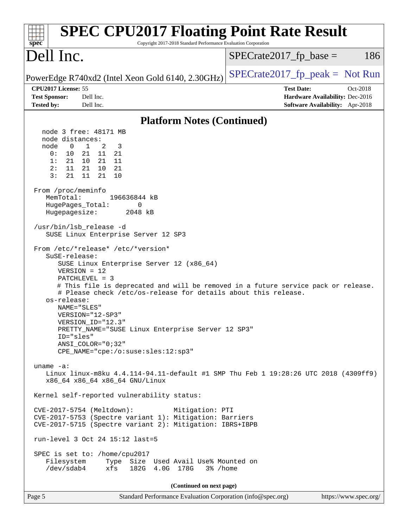| <b>SPEC CPU2017 Floating Point Rate Result</b><br>Copyright 2017-2018 Standard Performance Evaluation Corporation<br>$spec^*$                                                                                                                                                                                                                                                                                                                                                                                                                                                                                                                                                                                                                                                                                                                               |                                                                                                            |
|-------------------------------------------------------------------------------------------------------------------------------------------------------------------------------------------------------------------------------------------------------------------------------------------------------------------------------------------------------------------------------------------------------------------------------------------------------------------------------------------------------------------------------------------------------------------------------------------------------------------------------------------------------------------------------------------------------------------------------------------------------------------------------------------------------------------------------------------------------------|------------------------------------------------------------------------------------------------------------|
| Dell Inc.                                                                                                                                                                                                                                                                                                                                                                                                                                                                                                                                                                                                                                                                                                                                                                                                                                                   | $SPECrate2017_fp\_base =$<br>186                                                                           |
| PowerEdge R740xd2 (Intel Xeon Gold 6140, 2.30GHz)                                                                                                                                                                                                                                                                                                                                                                                                                                                                                                                                                                                                                                                                                                                                                                                                           | $SPECrate2017_fp\_peak = Not Run$                                                                          |
| CPU2017 License: 55<br><b>Test Sponsor:</b><br>Dell Inc.<br><b>Tested by:</b><br>Dell Inc.                                                                                                                                                                                                                                                                                                                                                                                                                                                                                                                                                                                                                                                                                                                                                                  | <b>Test Date:</b><br>Oct-2018<br>Hardware Availability: Dec-2016<br><b>Software Availability:</b> Apr-2018 |
| <b>Platform Notes (Continued)</b>                                                                                                                                                                                                                                                                                                                                                                                                                                                                                                                                                                                                                                                                                                                                                                                                                           |                                                                                                            |
| node 3 free: 48171 MB<br>node distances:<br>$\mathbf 0$<br>$\mathbf{1}$<br>2<br>node<br>3<br>0:<br>10<br>21 11 21<br>1:<br>21<br>10<br>21<br>- 11<br>2:<br>10<br>21<br>11<br>21<br>11<br>10<br>3:<br>21<br>21<br>From /proc/meminfo<br>MemTotal:<br>196636844 kB<br>HugePages_Total:<br>0<br>Hugepagesize:<br>2048 kB<br>/usr/bin/lsb_release -d<br>SUSE Linux Enterprise Server 12 SP3<br>From /etc/*release* /etc/*version*<br>SuSE-release:<br>SUSE Linux Enterprise Server 12 (x86_64)<br>$VERSION = 12$<br>PATCHLEVEL = 3<br># This file is deprecated and will be removed in a future service pack or release.<br># Please check /etc/os-release for details about this release.<br>os-release:<br>NAME="SLES"<br>VERSION="12-SP3"<br>VERSION ID="12.3"<br>PRETTY_NAME="SUSE Linux Enterprise Server 12 SP3"<br>ID="sles"<br>$ANSI$ _COLOR=" $0:32$ " |                                                                                                            |
| CPE_NAME="cpe:/o:suse:sles:12:sp3"<br>uname $-a$ :                                                                                                                                                                                                                                                                                                                                                                                                                                                                                                                                                                                                                                                                                                                                                                                                          |                                                                                                            |
| Linux linux-m8ku 4.4.114-94.11-default #1 SMP Thu Feb 1 19:28:26 UTC 2018 (4309ff9)<br>x86_64 x86_64 x86_64 GNU/Linux                                                                                                                                                                                                                                                                                                                                                                                                                                                                                                                                                                                                                                                                                                                                       |                                                                                                            |
| Kernel self-reported vulnerability status:                                                                                                                                                                                                                                                                                                                                                                                                                                                                                                                                                                                                                                                                                                                                                                                                                  |                                                                                                            |
| CVE-2017-5754 (Meltdown):<br>Mitigation: PTI<br>CVE-2017-5753 (Spectre variant 1): Mitigation: Barriers<br>CVE-2017-5715 (Spectre variant 2): Mitigation: IBRS+IBPB                                                                                                                                                                                                                                                                                                                                                                                                                                                                                                                                                                                                                                                                                         |                                                                                                            |
| run-level 3 Oct 24 15:12 last=5                                                                                                                                                                                                                                                                                                                                                                                                                                                                                                                                                                                                                                                                                                                                                                                                                             |                                                                                                            |
| SPEC is set to: /home/cpu2017<br>Filesystem Type Size Used Avail Use% Mounted on<br>/dev/sdab4<br>xfs<br>182G  4.0G  178G<br>3% /home                                                                                                                                                                                                                                                                                                                                                                                                                                                                                                                                                                                                                                                                                                                       |                                                                                                            |
| (Continued on next page)                                                                                                                                                                                                                                                                                                                                                                                                                                                                                                                                                                                                                                                                                                                                                                                                                                    |                                                                                                            |
| Standard Performance Evaluation Corporation (info@spec.org)<br>Page 5                                                                                                                                                                                                                                                                                                                                                                                                                                                                                                                                                                                                                                                                                                                                                                                       | https://www.spec.org/                                                                                      |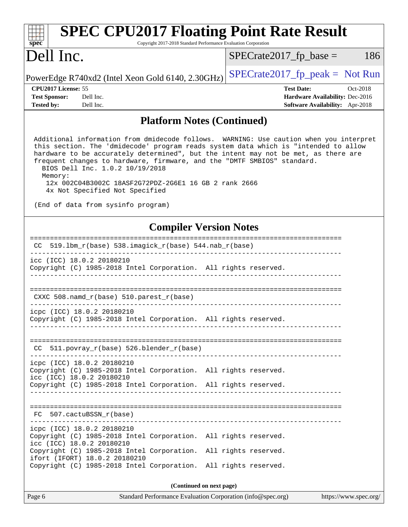| <b>SPEC CPU2017 Floating Point Rate Result</b><br>Spec<br>Copyright 2017-2018 Standard Performance Evaluation Corporation                                                                                                                                                                                                                                                                                                                                                                                                     |                                                                         |  |  |  |
|-------------------------------------------------------------------------------------------------------------------------------------------------------------------------------------------------------------------------------------------------------------------------------------------------------------------------------------------------------------------------------------------------------------------------------------------------------------------------------------------------------------------------------|-------------------------------------------------------------------------|--|--|--|
| Dell Inc.                                                                                                                                                                                                                                                                                                                                                                                                                                                                                                                     | $SPECrate2017_fp\_base =$<br>186                                        |  |  |  |
| PowerEdge R740xd2 (Intel Xeon Gold 6140, 2.30GHz)                                                                                                                                                                                                                                                                                                                                                                                                                                                                             | $SPECTate2017_fp\_peak = Not Run$                                       |  |  |  |
| CPU <sub>2017</sub> License: 55<br>Dell Inc.<br><b>Test Sponsor:</b>                                                                                                                                                                                                                                                                                                                                                                                                                                                          | <b>Test Date:</b><br>Oct-2018<br><b>Hardware Availability: Dec-2016</b> |  |  |  |
| <b>Tested by:</b><br>Dell Inc.                                                                                                                                                                                                                                                                                                                                                                                                                                                                                                | Software Availability: Apr-2018                                         |  |  |  |
| <b>Platform Notes (Continued)</b>                                                                                                                                                                                                                                                                                                                                                                                                                                                                                             |                                                                         |  |  |  |
| Additional information from dmidecode follows. WARNING: Use caution when you interpret<br>this section. The 'dmidecode' program reads system data which is "intended to allow<br>hardware to be accurately determined", but the intent may not be met, as there are<br>frequent changes to hardware, firmware, and the "DMTF SMBIOS" standard.<br>BIOS Dell Inc. 1.0.2 10/19/2018<br>Memory:<br>12x 002C04B3002C 18ASF2G72PDZ-2G6E1 16 GB 2 rank 2666<br>4x Not Specified Not Specified<br>(End of data from sysinfo program) |                                                                         |  |  |  |
|                                                                                                                                                                                                                                                                                                                                                                                                                                                                                                                               |                                                                         |  |  |  |
| <b>Compiler Version Notes</b>                                                                                                                                                                                                                                                                                                                                                                                                                                                                                                 |                                                                         |  |  |  |
| CC.                                                                                                                                                                                                                                                                                                                                                                                                                                                                                                                           |                                                                         |  |  |  |
| icc (ICC) 18.0.2 20180210<br>Copyright (C) 1985-2018 Intel Corporation. All rights reserved.                                                                                                                                                                                                                                                                                                                                                                                                                                  |                                                                         |  |  |  |
| CXXC 508.namd_r(base) 510.parest_r(base)                                                                                                                                                                                                                                                                                                                                                                                                                                                                                      |                                                                         |  |  |  |
| icpc (ICC) 18.0.2 20180210<br>Copyright (C) 1985-2018 Intel Corporation. All rights reserved.                                                                                                                                                                                                                                                                                                                                                                                                                                 |                                                                         |  |  |  |
| CC 511.povray_r(base) 526.blender_r(base)                                                                                                                                                                                                                                                                                                                                                                                                                                                                                     |                                                                         |  |  |  |
| icpc (ICC) 18.0.2 20180210<br>Copyright (C) 1985-2018 Intel Corporation. All rights reserved.<br>icc (ICC) 18.0.2 20180210<br>Copyright (C) 1985-2018 Intel Corporation. All rights reserved.                                                                                                                                                                                                                                                                                                                                 |                                                                         |  |  |  |
|                                                                                                                                                                                                                                                                                                                                                                                                                                                                                                                               |                                                                         |  |  |  |
| 507.cactuBSSN_r(base)<br>FC.                                                                                                                                                                                                                                                                                                                                                                                                                                                                                                  |                                                                         |  |  |  |
| icpc (ICC) 18.0.2 20180210<br>Copyright (C) 1985-2018 Intel Corporation. All rights reserved.<br>icc (ICC) 18.0.2 20180210                                                                                                                                                                                                                                                                                                                                                                                                    |                                                                         |  |  |  |
| Copyright (C) 1985-2018 Intel Corporation. All rights reserved.<br>ifort (IFORT) 18.0.2 20180210<br>Copyright (C) 1985-2018 Intel Corporation. All rights reserved.                                                                                                                                                                                                                                                                                                                                                           |                                                                         |  |  |  |
| (Continued on next page)                                                                                                                                                                                                                                                                                                                                                                                                                                                                                                      |                                                                         |  |  |  |
| Page 6<br>Standard Performance Evaluation Corporation (info@spec.org)                                                                                                                                                                                                                                                                                                                                                                                                                                                         | https://www.spec.org/                                                   |  |  |  |

 $\overline{\phantom{a}}$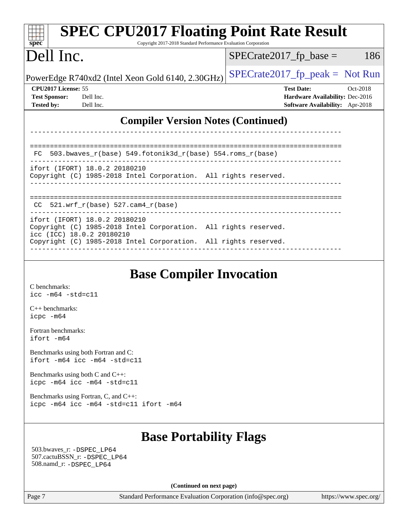| <b>SPEC CPU2017 Floating Point Rate Result</b><br>spec <sup>®</sup><br>Copyright 2017-2018 Standard Performance Evaluation Corporation |                                                                    |  |  |  |  |
|----------------------------------------------------------------------------------------------------------------------------------------|--------------------------------------------------------------------|--|--|--|--|
| Dell Inc.                                                                                                                              | 186<br>$SPECrate2017_fp\_base =$                                   |  |  |  |  |
| PowerEdge R740xd2 (Intel Xeon Gold 6140, 2.30GHz)                                                                                      | $SPECTate2017_fp\_peak = Not Run$                                  |  |  |  |  |
| CPU2017 License: 55                                                                                                                    | <b>Test Date:</b><br>Oct-2018                                      |  |  |  |  |
| <b>Test Sponsor:</b><br>Dell Inc.<br><b>Tested by:</b><br>Dell Inc.                                                                    | Hardware Availability: Dec-2016<br>Software Availability: Apr-2018 |  |  |  |  |
| <b>Compiler Version Notes (Continued)</b>                                                                                              |                                                                    |  |  |  |  |
| $503.bwaves_r(base) 549.fotonik3d_r(base) 554.roms_r(base)$<br>FC.                                                                     |                                                                    |  |  |  |  |
| ifort (IFORT) 18.0.2 20180210<br>Copyright (C) 1985-2018 Intel Corporation. All rights reserved.                                       |                                                                    |  |  |  |  |
| 521.wrf_r(base) 527.cam4_r(base)<br>CC.                                                                                                |                                                                    |  |  |  |  |
| ifort (IFORT) 18.0.2 20180210<br>Copyright (C) 1985-2018 Intel Corporation. All rights reserved.<br>icc (ICC) 18.0.2 20180210          |                                                                    |  |  |  |  |
| Copyright (C) 1985-2018 Intel Corporation. All rights reserved.                                                                        |                                                                    |  |  |  |  |
| <b>Base Compiler Invocation</b><br>C benchmarks:                                                                                       |                                                                    |  |  |  |  |

[icc -m64 -std=c11](http://www.spec.org/cpu2017/results/res2018q4/cpu2017-20181112-09534.flags.html#user_CCbase_intel_icc_64bit_c11_33ee0cdaae7deeeab2a9725423ba97205ce30f63b9926c2519791662299b76a0318f32ddfffdc46587804de3178b4f9328c46fa7c2b0cd779d7a61945c91cd35)

[C++ benchmarks:](http://www.spec.org/auto/cpu2017/Docs/result-fields.html#CXXbenchmarks) [icpc -m64](http://www.spec.org/cpu2017/results/res2018q4/cpu2017-20181112-09534.flags.html#user_CXXbase_intel_icpc_64bit_4ecb2543ae3f1412ef961e0650ca070fec7b7afdcd6ed48761b84423119d1bf6bdf5cad15b44d48e7256388bc77273b966e5eb805aefd121eb22e9299b2ec9d9)

[Fortran benchmarks](http://www.spec.org/auto/cpu2017/Docs/result-fields.html#Fortranbenchmarks): [ifort -m64](http://www.spec.org/cpu2017/results/res2018q4/cpu2017-20181112-09534.flags.html#user_FCbase_intel_ifort_64bit_24f2bb282fbaeffd6157abe4f878425411749daecae9a33200eee2bee2fe76f3b89351d69a8130dd5949958ce389cf37ff59a95e7a40d588e8d3a57e0c3fd751)

[Benchmarks using both Fortran and C](http://www.spec.org/auto/cpu2017/Docs/result-fields.html#BenchmarksusingbothFortranandC): [ifort -m64](http://www.spec.org/cpu2017/results/res2018q4/cpu2017-20181112-09534.flags.html#user_CC_FCbase_intel_ifort_64bit_24f2bb282fbaeffd6157abe4f878425411749daecae9a33200eee2bee2fe76f3b89351d69a8130dd5949958ce389cf37ff59a95e7a40d588e8d3a57e0c3fd751) [icc -m64 -std=c11](http://www.spec.org/cpu2017/results/res2018q4/cpu2017-20181112-09534.flags.html#user_CC_FCbase_intel_icc_64bit_c11_33ee0cdaae7deeeab2a9725423ba97205ce30f63b9926c2519791662299b76a0318f32ddfffdc46587804de3178b4f9328c46fa7c2b0cd779d7a61945c91cd35)

[Benchmarks using both C and C++](http://www.spec.org/auto/cpu2017/Docs/result-fields.html#BenchmarksusingbothCandCXX): [icpc -m64](http://www.spec.org/cpu2017/results/res2018q4/cpu2017-20181112-09534.flags.html#user_CC_CXXbase_intel_icpc_64bit_4ecb2543ae3f1412ef961e0650ca070fec7b7afdcd6ed48761b84423119d1bf6bdf5cad15b44d48e7256388bc77273b966e5eb805aefd121eb22e9299b2ec9d9) [icc -m64 -std=c11](http://www.spec.org/cpu2017/results/res2018q4/cpu2017-20181112-09534.flags.html#user_CC_CXXbase_intel_icc_64bit_c11_33ee0cdaae7deeeab2a9725423ba97205ce30f63b9926c2519791662299b76a0318f32ddfffdc46587804de3178b4f9328c46fa7c2b0cd779d7a61945c91cd35)

[Benchmarks using Fortran, C, and C++:](http://www.spec.org/auto/cpu2017/Docs/result-fields.html#BenchmarksusingFortranCandCXX) [icpc -m64](http://www.spec.org/cpu2017/results/res2018q4/cpu2017-20181112-09534.flags.html#user_CC_CXX_FCbase_intel_icpc_64bit_4ecb2543ae3f1412ef961e0650ca070fec7b7afdcd6ed48761b84423119d1bf6bdf5cad15b44d48e7256388bc77273b966e5eb805aefd121eb22e9299b2ec9d9) [icc -m64 -std=c11](http://www.spec.org/cpu2017/results/res2018q4/cpu2017-20181112-09534.flags.html#user_CC_CXX_FCbase_intel_icc_64bit_c11_33ee0cdaae7deeeab2a9725423ba97205ce30f63b9926c2519791662299b76a0318f32ddfffdc46587804de3178b4f9328c46fa7c2b0cd779d7a61945c91cd35) [ifort -m64](http://www.spec.org/cpu2017/results/res2018q4/cpu2017-20181112-09534.flags.html#user_CC_CXX_FCbase_intel_ifort_64bit_24f2bb282fbaeffd6157abe4f878425411749daecae9a33200eee2bee2fe76f3b89351d69a8130dd5949958ce389cf37ff59a95e7a40d588e8d3a57e0c3fd751)

## **[Base Portability Flags](http://www.spec.org/auto/cpu2017/Docs/result-fields.html#BasePortabilityFlags)**

 503.bwaves\_r: [-DSPEC\\_LP64](http://www.spec.org/cpu2017/results/res2018q4/cpu2017-20181112-09534.flags.html#suite_basePORTABILITY503_bwaves_r_DSPEC_LP64) 507.cactuBSSN\_r: [-DSPEC\\_LP64](http://www.spec.org/cpu2017/results/res2018q4/cpu2017-20181112-09534.flags.html#suite_basePORTABILITY507_cactuBSSN_r_DSPEC_LP64) 508.namd\_r: [-DSPEC\\_LP64](http://www.spec.org/cpu2017/results/res2018q4/cpu2017-20181112-09534.flags.html#suite_basePORTABILITY508_namd_r_DSPEC_LP64)

**(Continued on next page)**

Page 7 Standard Performance Evaluation Corporation [\(info@spec.org\)](mailto:info@spec.org) <https://www.spec.org/>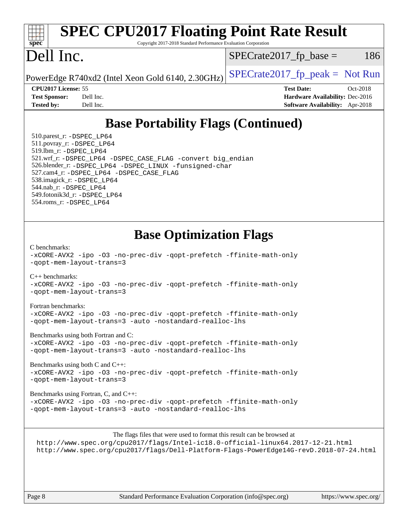## **[SPEC CPU2017 Floating Point Rate Result](http://www.spec.org/auto/cpu2017/Docs/result-fields.html#SPECCPU2017FloatingPointRateResult)**  $\pm$   $\prime$ **[spec](http://www.spec.org/)** Copyright 2017-2018 Standard Performance Evaluation Corporation Dell Inc.  $SPECTate2017<sub>fr</sub> base = 186$ PowerEdge R740xd2 (Intel Xeon Gold 6140, 2.30GHz)  $\left|$  [SPECrate2017\\_fp\\_peak =](http://www.spec.org/auto/cpu2017/Docs/result-fields.html#SPECrate2017fppeak) Not Run **[CPU2017 License:](http://www.spec.org/auto/cpu2017/Docs/result-fields.html#CPU2017License)** 55 **[Test Date:](http://www.spec.org/auto/cpu2017/Docs/result-fields.html#TestDate)** Oct-2018 **[Test Sponsor:](http://www.spec.org/auto/cpu2017/Docs/result-fields.html#TestSponsor)** Dell Inc. **[Hardware Availability:](http://www.spec.org/auto/cpu2017/Docs/result-fields.html#HardwareAvailability)** Dec-2016 **[Tested by:](http://www.spec.org/auto/cpu2017/Docs/result-fields.html#Testedby)** Dell Inc. **[Software Availability:](http://www.spec.org/auto/cpu2017/Docs/result-fields.html#SoftwareAvailability)** Apr-2018 **[Base Portability Flags \(Continued\)](http://www.spec.org/auto/cpu2017/Docs/result-fields.html#BasePortabilityFlags)** 510.parest\_r: [-DSPEC\\_LP64](http://www.spec.org/cpu2017/results/res2018q4/cpu2017-20181112-09534.flags.html#suite_basePORTABILITY510_parest_r_DSPEC_LP64) 511.povray\_r: [-DSPEC\\_LP64](http://www.spec.org/cpu2017/results/res2018q4/cpu2017-20181112-09534.flags.html#suite_basePORTABILITY511_povray_r_DSPEC_LP64) 519.lbm\_r: [-DSPEC\\_LP64](http://www.spec.org/cpu2017/results/res2018q4/cpu2017-20181112-09534.flags.html#suite_basePORTABILITY519_lbm_r_DSPEC_LP64) 521.wrf\_r: [-DSPEC\\_LP64](http://www.spec.org/cpu2017/results/res2018q4/cpu2017-20181112-09534.flags.html#suite_basePORTABILITY521_wrf_r_DSPEC_LP64) [-DSPEC\\_CASE\\_FLAG](http://www.spec.org/cpu2017/results/res2018q4/cpu2017-20181112-09534.flags.html#b521.wrf_r_baseCPORTABILITY_DSPEC_CASE_FLAG) [-convert big\\_endian](http://www.spec.org/cpu2017/results/res2018q4/cpu2017-20181112-09534.flags.html#user_baseFPORTABILITY521_wrf_r_convert_big_endian_c3194028bc08c63ac5d04de18c48ce6d347e4e562e8892b8bdbdc0214820426deb8554edfa529a3fb25a586e65a3d812c835984020483e7e73212c4d31a38223) 526.blender\_r: [-DSPEC\\_LP64](http://www.spec.org/cpu2017/results/res2018q4/cpu2017-20181112-09534.flags.html#suite_basePORTABILITY526_blender_r_DSPEC_LP64) [-DSPEC\\_LINUX](http://www.spec.org/cpu2017/results/res2018q4/cpu2017-20181112-09534.flags.html#b526.blender_r_baseCPORTABILITY_DSPEC_LINUX) [-funsigned-char](http://www.spec.org/cpu2017/results/res2018q4/cpu2017-20181112-09534.flags.html#user_baseCPORTABILITY526_blender_r_force_uchar_40c60f00ab013830e2dd6774aeded3ff59883ba5a1fc5fc14077f794d777847726e2a5858cbc7672e36e1b067e7e5c1d9a74f7176df07886a243d7cc18edfe67) 527.cam4\_r: [-DSPEC\\_LP64](http://www.spec.org/cpu2017/results/res2018q4/cpu2017-20181112-09534.flags.html#suite_basePORTABILITY527_cam4_r_DSPEC_LP64) [-DSPEC\\_CASE\\_FLAG](http://www.spec.org/cpu2017/results/res2018q4/cpu2017-20181112-09534.flags.html#b527.cam4_r_baseCPORTABILITY_DSPEC_CASE_FLAG) 538.imagick\_r: [-DSPEC\\_LP64](http://www.spec.org/cpu2017/results/res2018q4/cpu2017-20181112-09534.flags.html#suite_basePORTABILITY538_imagick_r_DSPEC_LP64) 544.nab\_r: [-DSPEC\\_LP64](http://www.spec.org/cpu2017/results/res2018q4/cpu2017-20181112-09534.flags.html#suite_basePORTABILITY544_nab_r_DSPEC_LP64) 549.fotonik3d\_r: [-DSPEC\\_LP64](http://www.spec.org/cpu2017/results/res2018q4/cpu2017-20181112-09534.flags.html#suite_basePORTABILITY549_fotonik3d_r_DSPEC_LP64) 554.roms\_r: [-DSPEC\\_LP64](http://www.spec.org/cpu2017/results/res2018q4/cpu2017-20181112-09534.flags.html#suite_basePORTABILITY554_roms_r_DSPEC_LP64) **[Base Optimization Flags](http://www.spec.org/auto/cpu2017/Docs/result-fields.html#BaseOptimizationFlags)** [C benchmarks](http://www.spec.org/auto/cpu2017/Docs/result-fields.html#Cbenchmarks): [-xCORE-AVX2](http://www.spec.org/cpu2017/results/res2018q4/cpu2017-20181112-09534.flags.html#user_CCbase_f-xCORE-AVX2) [-ipo](http://www.spec.org/cpu2017/results/res2018q4/cpu2017-20181112-09534.flags.html#user_CCbase_f-ipo) [-O3](http://www.spec.org/cpu2017/results/res2018q4/cpu2017-20181112-09534.flags.html#user_CCbase_f-O3) [-no-prec-div](http://www.spec.org/cpu2017/results/res2018q4/cpu2017-20181112-09534.flags.html#user_CCbase_f-no-prec-div) [-qopt-prefetch](http://www.spec.org/cpu2017/results/res2018q4/cpu2017-20181112-09534.flags.html#user_CCbase_f-qopt-prefetch) [-ffinite-math-only](http://www.spec.org/cpu2017/results/res2018q4/cpu2017-20181112-09534.flags.html#user_CCbase_f_finite_math_only_cb91587bd2077682c4b38af759c288ed7c732db004271a9512da14a4f8007909a5f1427ecbf1a0fb78ff2a814402c6114ac565ca162485bbcae155b5e4258871) [-qopt-mem-layout-trans=3](http://www.spec.org/cpu2017/results/res2018q4/cpu2017-20181112-09534.flags.html#user_CCbase_f-qopt-mem-layout-trans_de80db37974c74b1f0e20d883f0b675c88c3b01e9d123adea9b28688d64333345fb62bc4a798493513fdb68f60282f9a726aa07f478b2f7113531aecce732043) [C++ benchmarks:](http://www.spec.org/auto/cpu2017/Docs/result-fields.html#CXXbenchmarks) [-xCORE-AVX2](http://www.spec.org/cpu2017/results/res2018q4/cpu2017-20181112-09534.flags.html#user_CXXbase_f-xCORE-AVX2) [-ipo](http://www.spec.org/cpu2017/results/res2018q4/cpu2017-20181112-09534.flags.html#user_CXXbase_f-ipo) [-O3](http://www.spec.org/cpu2017/results/res2018q4/cpu2017-20181112-09534.flags.html#user_CXXbase_f-O3) [-no-prec-div](http://www.spec.org/cpu2017/results/res2018q4/cpu2017-20181112-09534.flags.html#user_CXXbase_f-no-prec-div) [-qopt-prefetch](http://www.spec.org/cpu2017/results/res2018q4/cpu2017-20181112-09534.flags.html#user_CXXbase_f-qopt-prefetch) [-ffinite-math-only](http://www.spec.org/cpu2017/results/res2018q4/cpu2017-20181112-09534.flags.html#user_CXXbase_f_finite_math_only_cb91587bd2077682c4b38af759c288ed7c732db004271a9512da14a4f8007909a5f1427ecbf1a0fb78ff2a814402c6114ac565ca162485bbcae155b5e4258871) [-qopt-mem-layout-trans=3](http://www.spec.org/cpu2017/results/res2018q4/cpu2017-20181112-09534.flags.html#user_CXXbase_f-qopt-mem-layout-trans_de80db37974c74b1f0e20d883f0b675c88c3b01e9d123adea9b28688d64333345fb62bc4a798493513fdb68f60282f9a726aa07f478b2f7113531aecce732043) [Fortran benchmarks](http://www.spec.org/auto/cpu2017/Docs/result-fields.html#Fortranbenchmarks): [-xCORE-AVX2](http://www.spec.org/cpu2017/results/res2018q4/cpu2017-20181112-09534.flags.html#user_FCbase_f-xCORE-AVX2) [-ipo](http://www.spec.org/cpu2017/results/res2018q4/cpu2017-20181112-09534.flags.html#user_FCbase_f-ipo) [-O3](http://www.spec.org/cpu2017/results/res2018q4/cpu2017-20181112-09534.flags.html#user_FCbase_f-O3) [-no-prec-div](http://www.spec.org/cpu2017/results/res2018q4/cpu2017-20181112-09534.flags.html#user_FCbase_f-no-prec-div) [-qopt-prefetch](http://www.spec.org/cpu2017/results/res2018q4/cpu2017-20181112-09534.flags.html#user_FCbase_f-qopt-prefetch) [-ffinite-math-only](http://www.spec.org/cpu2017/results/res2018q4/cpu2017-20181112-09534.flags.html#user_FCbase_f_finite_math_only_cb91587bd2077682c4b38af759c288ed7c732db004271a9512da14a4f8007909a5f1427ecbf1a0fb78ff2a814402c6114ac565ca162485bbcae155b5e4258871) [-qopt-mem-layout-trans=3](http://www.spec.org/cpu2017/results/res2018q4/cpu2017-20181112-09534.flags.html#user_FCbase_f-qopt-mem-layout-trans_de80db37974c74b1f0e20d883f0b675c88c3b01e9d123adea9b28688d64333345fb62bc4a798493513fdb68f60282f9a726aa07f478b2f7113531aecce732043) [-auto](http://www.spec.org/cpu2017/results/res2018q4/cpu2017-20181112-09534.flags.html#user_FCbase_f-auto) [-nostandard-realloc-lhs](http://www.spec.org/cpu2017/results/res2018q4/cpu2017-20181112-09534.flags.html#user_FCbase_f_2003_std_realloc_82b4557e90729c0f113870c07e44d33d6f5a304b4f63d4c15d2d0f1fab99f5daaed73bdb9275d9ae411527f28b936061aa8b9c8f2d63842963b95c9dd6426b8a) [Benchmarks using both Fortran and C](http://www.spec.org/auto/cpu2017/Docs/result-fields.html#BenchmarksusingbothFortranandC): [-xCORE-AVX2](http://www.spec.org/cpu2017/results/res2018q4/cpu2017-20181112-09534.flags.html#user_CC_FCbase_f-xCORE-AVX2) [-ipo](http://www.spec.org/cpu2017/results/res2018q4/cpu2017-20181112-09534.flags.html#user_CC_FCbase_f-ipo) [-O3](http://www.spec.org/cpu2017/results/res2018q4/cpu2017-20181112-09534.flags.html#user_CC_FCbase_f-O3) [-no-prec-div](http://www.spec.org/cpu2017/results/res2018q4/cpu2017-20181112-09534.flags.html#user_CC_FCbase_f-no-prec-div) [-qopt-prefetch](http://www.spec.org/cpu2017/results/res2018q4/cpu2017-20181112-09534.flags.html#user_CC_FCbase_f-qopt-prefetch) [-ffinite-math-only](http://www.spec.org/cpu2017/results/res2018q4/cpu2017-20181112-09534.flags.html#user_CC_FCbase_f_finite_math_only_cb91587bd2077682c4b38af759c288ed7c732db004271a9512da14a4f8007909a5f1427ecbf1a0fb78ff2a814402c6114ac565ca162485bbcae155b5e4258871) [-qopt-mem-layout-trans=3](http://www.spec.org/cpu2017/results/res2018q4/cpu2017-20181112-09534.flags.html#user_CC_FCbase_f-qopt-mem-layout-trans_de80db37974c74b1f0e20d883f0b675c88c3b01e9d123adea9b28688d64333345fb62bc4a798493513fdb68f60282f9a726aa07f478b2f7113531aecce732043) [-auto](http://www.spec.org/cpu2017/results/res2018q4/cpu2017-20181112-09534.flags.html#user_CC_FCbase_f-auto) [-nostandard-realloc-lhs](http://www.spec.org/cpu2017/results/res2018q4/cpu2017-20181112-09534.flags.html#user_CC_FCbase_f_2003_std_realloc_82b4557e90729c0f113870c07e44d33d6f5a304b4f63d4c15d2d0f1fab99f5daaed73bdb9275d9ae411527f28b936061aa8b9c8f2d63842963b95c9dd6426b8a) [Benchmarks using both C and C++](http://www.spec.org/auto/cpu2017/Docs/result-fields.html#BenchmarksusingbothCandCXX): [-xCORE-AVX2](http://www.spec.org/cpu2017/results/res2018q4/cpu2017-20181112-09534.flags.html#user_CC_CXXbase_f-xCORE-AVX2) [-ipo](http://www.spec.org/cpu2017/results/res2018q4/cpu2017-20181112-09534.flags.html#user_CC_CXXbase_f-ipo) [-O3](http://www.spec.org/cpu2017/results/res2018q4/cpu2017-20181112-09534.flags.html#user_CC_CXXbase_f-O3) [-no-prec-div](http://www.spec.org/cpu2017/results/res2018q4/cpu2017-20181112-09534.flags.html#user_CC_CXXbase_f-no-prec-div) [-qopt-prefetch](http://www.spec.org/cpu2017/results/res2018q4/cpu2017-20181112-09534.flags.html#user_CC_CXXbase_f-qopt-prefetch) [-ffinite-math-only](http://www.spec.org/cpu2017/results/res2018q4/cpu2017-20181112-09534.flags.html#user_CC_CXXbase_f_finite_math_only_cb91587bd2077682c4b38af759c288ed7c732db004271a9512da14a4f8007909a5f1427ecbf1a0fb78ff2a814402c6114ac565ca162485bbcae155b5e4258871) [-qopt-mem-layout-trans=3](http://www.spec.org/cpu2017/results/res2018q4/cpu2017-20181112-09534.flags.html#user_CC_CXXbase_f-qopt-mem-layout-trans_de80db37974c74b1f0e20d883f0b675c88c3b01e9d123adea9b28688d64333345fb62bc4a798493513fdb68f60282f9a726aa07f478b2f7113531aecce732043) [Benchmarks using Fortran, C, and C++:](http://www.spec.org/auto/cpu2017/Docs/result-fields.html#BenchmarksusingFortranCandCXX) [-xCORE-AVX2](http://www.spec.org/cpu2017/results/res2018q4/cpu2017-20181112-09534.flags.html#user_CC_CXX_FCbase_f-xCORE-AVX2) [-ipo](http://www.spec.org/cpu2017/results/res2018q4/cpu2017-20181112-09534.flags.html#user_CC_CXX_FCbase_f-ipo) [-O3](http://www.spec.org/cpu2017/results/res2018q4/cpu2017-20181112-09534.flags.html#user_CC_CXX_FCbase_f-O3) [-no-prec-div](http://www.spec.org/cpu2017/results/res2018q4/cpu2017-20181112-09534.flags.html#user_CC_CXX_FCbase_f-no-prec-div) [-qopt-prefetch](http://www.spec.org/cpu2017/results/res2018q4/cpu2017-20181112-09534.flags.html#user_CC_CXX_FCbase_f-qopt-prefetch) [-ffinite-math-only](http://www.spec.org/cpu2017/results/res2018q4/cpu2017-20181112-09534.flags.html#user_CC_CXX_FCbase_f_finite_math_only_cb91587bd2077682c4b38af759c288ed7c732db004271a9512da14a4f8007909a5f1427ecbf1a0fb78ff2a814402c6114ac565ca162485bbcae155b5e4258871) [-qopt-mem-layout-trans=3](http://www.spec.org/cpu2017/results/res2018q4/cpu2017-20181112-09534.flags.html#user_CC_CXX_FCbase_f-qopt-mem-layout-trans_de80db37974c74b1f0e20d883f0b675c88c3b01e9d123adea9b28688d64333345fb62bc4a798493513fdb68f60282f9a726aa07f478b2f7113531aecce732043) [-auto](http://www.spec.org/cpu2017/results/res2018q4/cpu2017-20181112-09534.flags.html#user_CC_CXX_FCbase_f-auto) [-nostandard-realloc-lhs](http://www.spec.org/cpu2017/results/res2018q4/cpu2017-20181112-09534.flags.html#user_CC_CXX_FCbase_f_2003_std_realloc_82b4557e90729c0f113870c07e44d33d6f5a304b4f63d4c15d2d0f1fab99f5daaed73bdb9275d9ae411527f28b936061aa8b9c8f2d63842963b95c9dd6426b8a) The flags files that were used to format this result can be browsed at <http://www.spec.org/cpu2017/flags/Intel-ic18.0-official-linux64.2017-12-21.html> <http://www.spec.org/cpu2017/flags/Dell-Platform-Flags-PowerEdge14G-revD.2018-07-24.html>